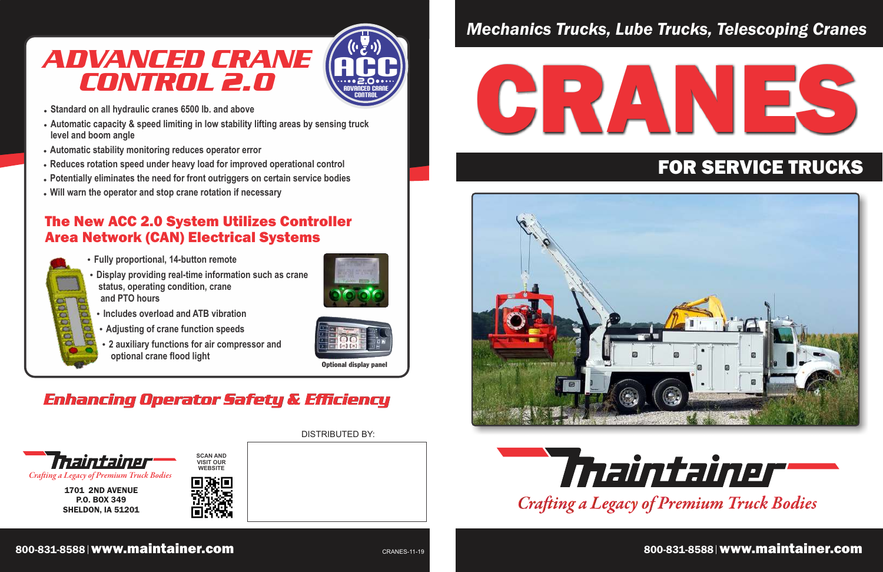# *Mechanics Trucks, Lube Trucks, Telescoping Cranes*



1701 2ND AVENUE P.O. BOX 349 SHELDON, IA 51201

*Craing a Legacy of Premium Truck Bodies*



# FOR SERVICE TRUCKS

DISTRIBUTED BY:





# ADVANCED CRANE CONTROL 2.0

- **Fully proportional, 14-button remote**
- **Display providing real-time information such as crane status, operating condition, crane and PTO hours**



- **Adjusting of crane function speeds**
- **2 auxiliary functions for air compressor and optional crane flood light**



- **. Standard on all hydraulic cranes 6500 lb. and above**
- **Automatic capacity & speed limiting in low stability lifting areas by sensing truck level and boom angle**
- **Automatic stability monitoring reduces operator error**
- **Reduces rotation speed under heavy load for improved operational control**
- **Potentially eliminates the need for front outriggers on certain service bodies**
- $\cdot$  Will warn the operator and stop crane rotation if necessary



### The New ACC 2.0 System Utilizes Controller Area Network (CAN) Electrical Systems





Optional display panel

## Enhancing Operator Safety & Efficiency



800-831-8588 www.maintainer.com